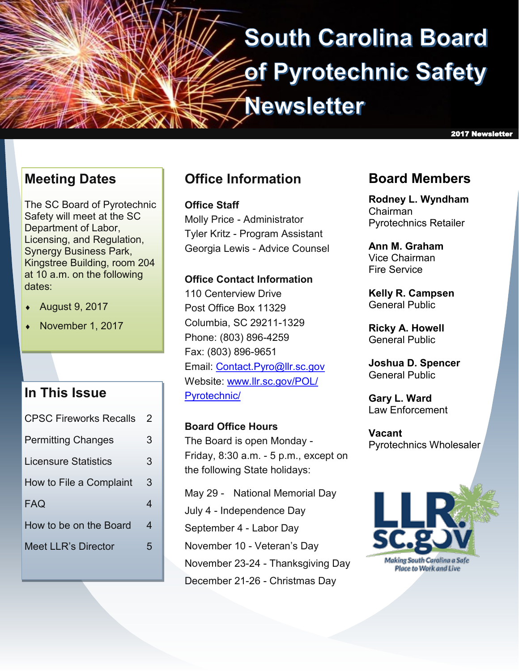# **South Carolina Board** of Pyrotechnic Safety **Newsletter**

**Meeting Dates**

The SC Board of Pyrotechnic Safety will meet at the SC Department of Labor, Licensing, and Regulation, Synergy Business Park, Kingstree Building, room 204 at 10 a.m. on the following dates:

- August 9, 2017
- November 1, 2017

### **In This Issue**

| <b>CPSC Fireworks Recalls</b> | $\mathcal P$ |
|-------------------------------|--------------|
| <b>Permitting Changes</b>     | 3            |
| Licensure Statistics          | 3            |
| How to File a Complaint       | 3            |
| FAQ                           | 4            |
| How to be on the Board        | 4            |
| Meet LLR's Director           | 5            |
|                               |              |

### **Office Information**

**Office Staff** Molly Price - Administrator Tyler Kritz - Program Assistant Georgia Lewis - Advice Counsel

### **Office Contact Information**

110 Centerview Drive Post Office Box 11329 Columbia, SC 29211-1329 Phone: (803) 896-4259 Fax: (803) 896-9651 Email: [Contact.Pyro@llr.sc.gov](mailto:Contact.Pyro@llr.sc.gov) Website: [www.llr.sc.gov/POL/](http://llr.sc.gov/POL/Pyrotechnic/) [Pyrotechnic/](http://llr.sc.gov/POL/Pyrotechnic/)

**Board Office Hours** The Board is open Monday - Friday, 8:30 a.m. - 5 p.m., except on the following State holidays:

May 29 - National Memorial Day July 4 - Independence Day September 4 - Labor Day November 10 - Veteran's Day November 23-24 - Thanksgiving Day December 21-26 - Christmas Day

### **Board Members**

2017 Newsletter

**Rodney L. Wyndham** Chairman Pyrotechnics Retailer

**Ann M. Graham** Vice Chairman Fire Service

**Kelly R. Campsen** General Public

**Ricky A. Howell** General Public

**Joshua D. Spencer** General Public

**Gary L. Ward** Law Enforcement

**Vacant** Pyrotechnics Wholesaler

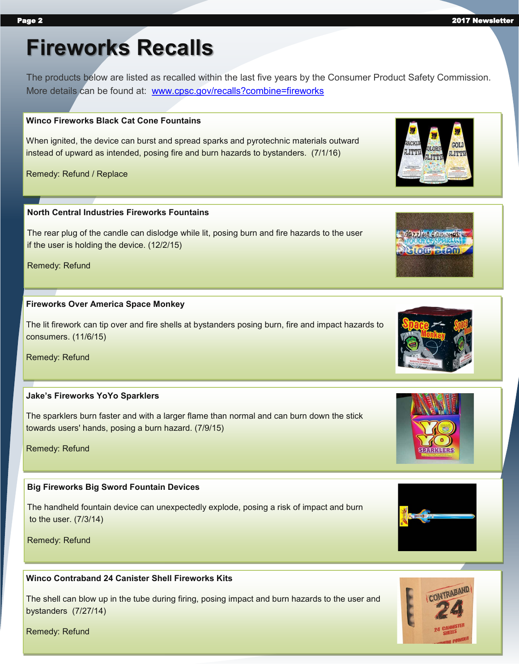# **Fireworks Recalls**

The products below are listed as recalled within the last five years by the Consumer Product Safety Commission. More details can be found at: [www.cpsc.gov/recalls?combine=fireworks](https://www.cpsc.gov/recalls?combine=fireworks)

#### **Winco Fireworks Black Cat Cone Fountains**

When ignited, the device can burst and spread sparks and pyrotechnic materials outward instead of upward as intended, posing fire and burn hazards to bystanders. (7/1/16)

Remedy: Refund / Replace

#### **North Central Industries Fireworks Fountains**

The rear plug of the candle can dislodge while lit, posing burn and fire hazards to the user if the user is holding the device. (12/2/15)

Remedy: Refund

#### **Fireworks Over America Space Monkey**

The lit firework can tip over and fire shells at bystanders posing burn, fire and impact hazards to consumers. (11/6/15)

Remedy: Refund

#### **Jake's Fireworks YoYo Sparklers**

The sparklers burn faster and with a larger flame than normal and can burn down the stick towards users' hands, posing a burn hazard. (7/9/15)

Remedy: Refund

### **Big Fireworks Big Sword Fountain Devices**

The handheld fountain device can unexpectedly explode, posing a risk of impact and burn to the user. (7/3/14)

Remedy: Refund

### **Winco Contraband 24 Canister Shell Fireworks Kits**

The shell can blow up in the tube during firing, posing impact and burn hazards to the user and bystanders (7/27/14)











**IGTR** 



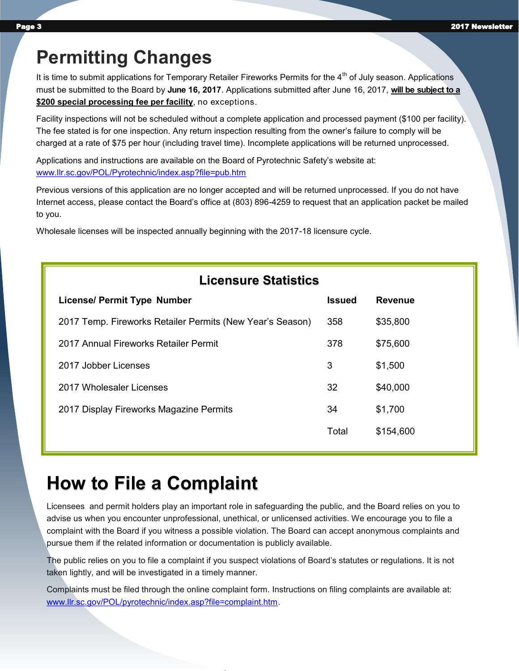### **Permitting Changes**

It is time to submit applications for Temporary Retailer Fireworks Permits for the 4<sup>th</sup> of July season. Applications must be submitted to the Board by **June 16, 2017**. Applications submitted after June 16, 2017, **will be subject to a \$200 special processing fee per facility**, no exceptions.

Facility inspections will not be scheduled without a complete application and processed payment (\$100 per facility). The fee stated is for one inspection. Any return inspection resulting from the owner's failure to comply will be charged at a rate of \$75 per hour (including travel time). Incomplete applications will be returned unprocessed.

Applications and instructions are available on the Board of Pyrotechnic Safety's website at: [www.llr.sc.gov/POL/Pyrotechnic/index.asp?file=pub.htm](http://www.llr.sc.gov/POL/Pyrotechnic/index.asp?file=pub.htm)

Previous versions of this application are no longer accepted and will be returned unprocessed. If you do not have Internet access, please contact the Board's office at (803) 896-4259 to request that an application packet be mailed to you.

Wholesale licenses will be inspected annually beginning with the 2017-18 licensure cycle.

| <b>Licensure Statistics</b> |  |
|-----------------------------|--|
|-----------------------------|--|

| <b>License/ Permit Type Number</b>                        | <b>Issued</b> | <b>Revenue</b> |
|-----------------------------------------------------------|---------------|----------------|
| 2017 Temp. Fireworks Retailer Permits (New Year's Season) | 358           | \$35,800       |
| 2017 Annual Fireworks Retailer Permit                     | 378           | \$75,600       |
| 2017 Jobber Licenses                                      | 3             | \$1,500        |
| 2017 Wholesaler Licenses                                  | 32            | \$40,000       |
| 2017 Display Fireworks Magazine Permits                   | 34            | \$1,700        |
|                                                           | Total         | \$154,600      |
|                                                           |               |                |

### **How to File a Complaint**

Licensees and permit holders play an important role in safeguarding the public, and the Board relies on you to advise us when you encounter unprofessional, unethical, or unlicensed activities. We encourage you to file a complaint with the Board if you witness a possible violation. The Board can accept anonymous complaints and pursue them if the related information or documentation is publicly available.

The public relies on you to file a complaint if you suspect violations of Board's statutes or regulations. It is not taken lightly, and will be investigated in a timely manner.

Complaints must be filed through the online complaint form. Instructions on filing complaints are available at: [www.llr.sc.gov/POL/pyrotechnic/index.asp?file=complaint.htm.](http://www.llr.sc.gov/POL/pyrotechnic/index.asp?file=complaint.htm)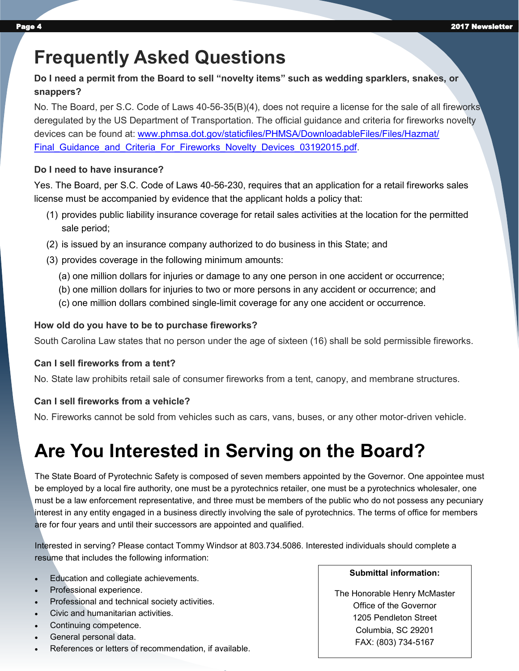### **Frequently Asked Questions**

### **Do I need a permit from the Board to sell "novelty items" such as wedding sparklers, snakes, or snappers?**

No. The Board, per S.C. Code of Laws 40-56-35(B)(4), does not require a license for the sale of all fireworks deregulated by the US Department of Transportation. The official guidance and criteria for fireworks novelty devices can be found at: [www.phmsa.dot.gov/staticfiles/PHMSA/DownloadableFiles/Files/Hazmat/](https://www.phmsa.dot.gov/staticfiles/PHMSA/DownloadableFiles/Files/Hazmat/Final_Guidance_and_Criteria_For_Fireworks_Novelty_Devices_03192015.pdf) Final Guidance and Criteria For Fireworks Novelty Devices 03192015.pdf.

#### **Do I need to have insurance?**

Yes. The Board, per S.C. Code of Laws 40-56-230, requires that an application for a retail fireworks sales license must be accompanied by evidence that the applicant holds a policy that:

- (1) provides public liability insurance coverage for retail sales activities at the location for the permitted sale period;
- (2) is issued by an insurance company authorized to do business in this State; and
- (3) provides coverage in the following minimum amounts:
	- (a) one million dollars for injuries or damage to any one person in one accident or occurrence;
	- (b) one million dollars for injuries to two or more persons in any accident or occurrence; and
	- (c) one million dollars combined single-limit coverage for any one accident or occurrence.

### **How old do you have to be to purchase fireworks?**

South Carolina Law states that no person under the age of sixteen (16) shall be sold permissible fireworks.

### **Can I sell fireworks from a tent?**

No. State law prohibits retail sale of consumer fireworks from a tent, canopy, and membrane structures.

### **Can I sell fireworks from a vehicle?**

No. Fireworks cannot be sold from vehicles such as cars, vans, buses, or any other motor-driven vehicle.

# **Are You Interested in Serving on the Board?**

The State Board of Pyrotechnic Safety is composed of seven members appointed by the Governor. One appointee must be employed by a local fire authority, one must be a pyrotechnics retailer, one must be a pyrotechnics wholesaler, one must be a law enforcement representative, and three must be members of the public who do not possess any pecuniary interest in any entity engaged in a business directly involving the sale of pyrotechnics. The terms of office for members are for four years and until their successors are appointed and qualified.

Interested in serving? Please contact Tommy Windsor at 803.734.5086. Interested individuals should complete a resume that includes the following information:

- Education and collegiate achievements.
- Professional experience.
- Professional and technical society activities.
- Civic and humanitarian activities.
- Continuing competence.
- General personal data.
- References or letters of recommendation, if available.

#### **Submittal information:**

The Honorable Henry McMaster Office of the Governor 1205 Pendleton Street Columbia, SC 29201 FAX: (803) 734-5167